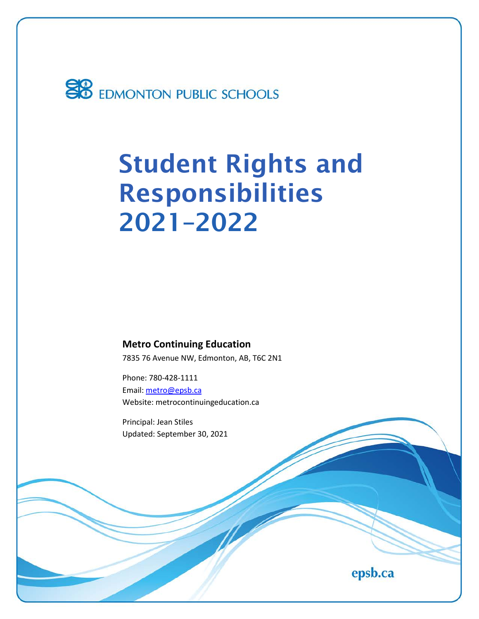

# Student Rights and Responsibilities 2021–2022

**Metro Continuing Education** 7835 76 Avenue NW, Edmonton, AB, T6C 2N1

Phone: 780-428-1111 Email[: metro@epsb.ca](mailto:metro@epsb.ca) Website: metrocontinuingeducation.ca

Principal: Jean Stiles Updated: September 30, 2021

epsb.ca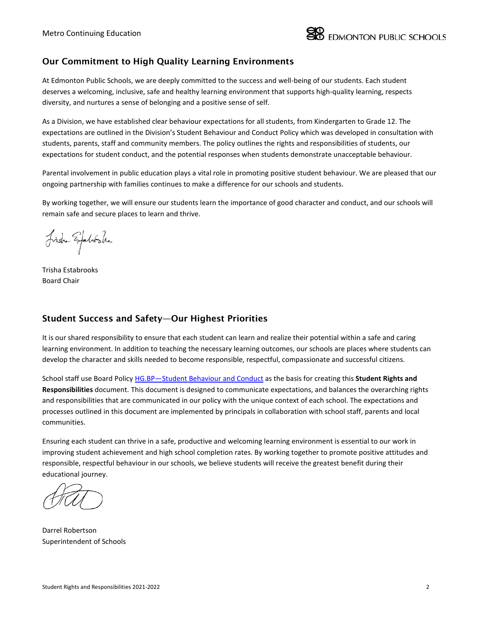

### Our Commitment to High Quality Learning Environments

At Edmonton Public Schools, we are deeply committed to the success and well-being of our students. Each student deserves a welcoming, inclusive, safe and healthy learning environment that supports high-quality learning, respects diversity, and nurtures a sense of belonging and a positive sense of self.

As a Division, we have established clear behaviour expectations for all students, from Kindergarten to Grade 12. The expectations are outlined in the Division's Student Behaviour and Conduct Policy which was developed in consultation with students, parents, staff and community members. The policy outlines the rights and responsibilities of students, our expectations for student conduct, and the potential responses when students demonstrate unacceptable behaviour.

Parental involvement in public education plays a vital role in promoting positive student behaviour. We are pleased that our ongoing partnership with families continues to make a difference for our schools and students.

By working together, we will ensure our students learn the importance of good character and conduct, and our schools will remain safe and secure places to learn and thrive.

Fish Expeliente

Trisha Estabrooks Board Chair

### Student Success and Safety—Our Highest Priorities

It is our shared responsibility to ensure that each student can learn and realize their potential within a safe and caring learning environment. In addition to teaching the necessary learning outcomes, our schools are places where students can develop the character and skills needed to become responsible, respectful, compassionate and successful citizens.

School staff use Board Policy [HG.BP—Student Behaviour and Conduct](https://www.epsb.ca/ourdistrict/policy/h/hg-bp/) as the basis for creating this **Student Rights and Responsibilities** document. This document is designed to communicate expectations, and balances the overarching rights and responsibilities that are communicated in our policy with the unique context of each school. The expectations and processes outlined in this document are implemented by principals in collaboration with school staff, parents and local communities.

Ensuring each student can thrive in a safe, productive and welcoming learning environment is essential to our work in improving student achievement and high school completion rates. By working together to promote positive attitudes and responsible, respectful behaviour in our schools, we believe students will receive the greatest benefit during their educational journey.

Darrel Robertson Superintendent of Schools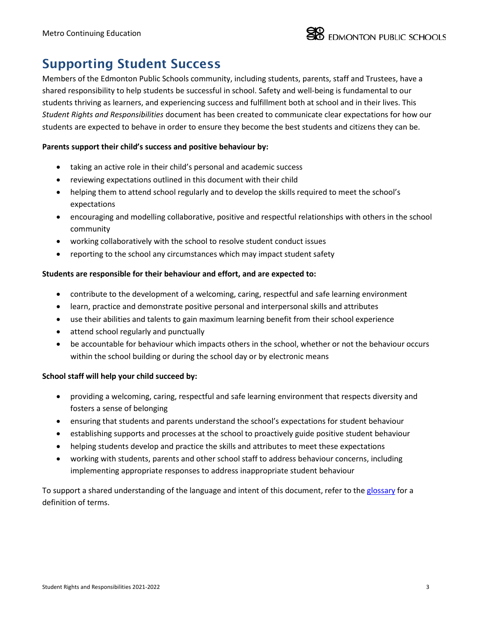## Supporting Student Success

Members of the Edmonton Public Schools community, including students, parents, staff and Trustees, have a shared responsibility to help students be successful in school. Safety and well-being is fundamental to our students thriving as learners, and experiencing success and fulfillment both at school and in their lives. This *Student Rights and Responsibilities* document has been created to communicate clear expectations for how our students are expected to behave in order to ensure they become the best students and citizens they can be.

### **Parents support their child's success and positive behaviour by:**

- taking an active role in their child's personal and academic success
- reviewing expectations outlined in this document with their child
- helping them to attend school regularly and to develop the skills required to meet the school's expectations
- encouraging and modelling collaborative, positive and respectful relationships with others in the school community
- working collaboratively with the school to resolve student conduct issues
- reporting to the school any circumstances which may impact student safety

### **Students are responsible for their behaviour and effort, and are expected to:**

- contribute to the development of a welcoming, caring, respectful and safe learning environment
- learn, practice and demonstrate positive personal and interpersonal skills and attributes
- use their abilities and talents to gain maximum learning benefit from their school experience
- attend school regularly and punctually
- be accountable for behaviour which impacts others in the school, whether or not the behaviour occurs within the school building or during the school day or by electronic means

### **School staff will help your child succeed by:**

- providing a welcoming, caring, respectful and safe learning environment that respects diversity and fosters a sense of belonging
- ensuring that students and parents understand the school's expectations for student behaviour
- establishing supports and processes at the school to proactively guide positive student behaviour
- helping students develop and practice the skills and attributes to meet these expectations
- working with students, parents and other school staff to address behaviour concerns, including implementing appropriate responses to address inappropriate student behaviour

To support a shared understanding of the language and intent of this document, refer to the [glossary](https://docs.google.com/document/d/17XNjzpVX82IahGh_pZllb5p2_56BzRTnteeoNjdejBk/edit?usp=sharing) for a definition of terms.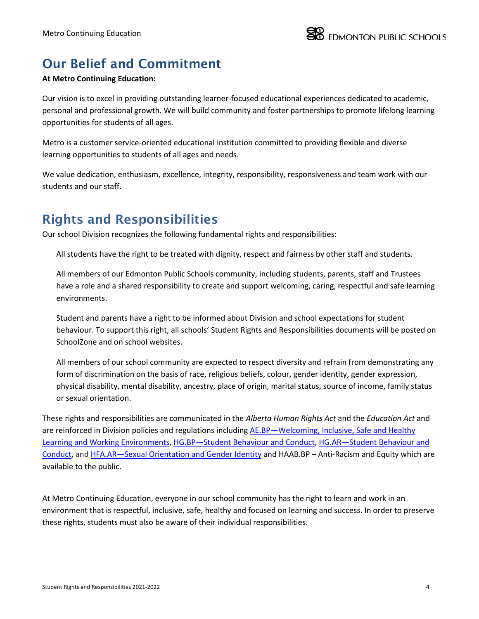# Our Belief and Commitment

### **At Metro Continuing Education:**

Our vision is to excel in providing outstanding learner-focused educational experiences dedicated to academic, personal and professional growth. We will build community and foster partnerships to promote lifelong learning opportunities for students of all ages.

Metro is a customer service-oriented educational institution committed to providing flexible and diverse learning opportunities to students of all ages and needs.

We value dedication, enthusiasm, excellence, integrity, responsibility, responsiveness and team work with our students and our staff.

## Rights and Responsibilities

Our school Division recognizes the following fundamental rights and responsibilities:

All students have the right to be treated with dignity, respect and fairness by other staff and students.

All members of our Edmonton Public Schools community, including students, parents, staff and Trustees have a role and a shared responsibility to create and support welcoming, caring, respectful and safe learning environments.

Student and parents have a right to be informed about Division and school expectations for student behaviour. To support this right, all schools' Student Rights and Responsibilities documents will be posted on SchoolZone and on school websites.

All members of our school community are expected to respect diversity and refrain from demonstrating any form of discrimination on the basis of race, religious beliefs, colour, gender identity, gender expression, physical disability, mental disability, ancestry, place of origin, marital status, source of income, family status or sexual orientation.

These rights and responsibilities are communicated in the *Alberta Human Rights Act* and the *Education Act* and are reinforced in Division policies and regulations including AE.BP—Welcoming, Inclusive, Safe and Healthy Learning and [Working Environments,](https://www.epsb.ca/ourdistrict/policy/a/ae-bp/) [HG.BP—Student Behaviour and Conduct,](https://www.epsb.ca/ourdistrict/policy/h/hg-bp/) [HG.AR—Student Behaviour and](http://www.epsb.ca/ourdistrict/policy/h/hg-ar/)  [Conduct,](http://www.epsb.ca/ourdistrict/policy/h/hg-ar/) and [HFA.AR—Sexual Orientation and Gender Identity](https://www.epsb.ca/ourdistrict/policy/h/hfa-ar/) and HAAB.BP – Anti-Racism and Equity which are available to the public.

At Metro Continuing Education, everyone in our school community has the right to learn and work in an environment that is respectful, inclusive, safe, healthy and focused on learning and success. In order to preserve these rights, students must also be aware of their individual responsibilities.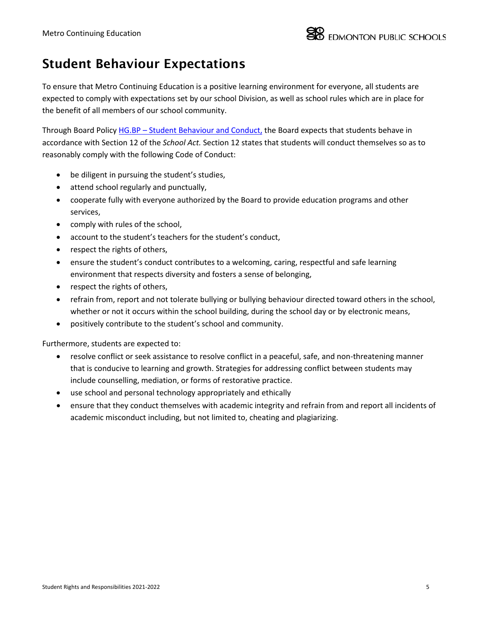### Student Behaviour Expectations

To ensure that Metro Continuing Education is a positive learning environment for everyone, all students are expected to comply with expectations set by our school Division, as well as school rules which are in place for the benefit of all members of our school community.

Through Board Policy HG.BP – [Student Behaviour and Conduct,](https://epsb.ca/ourdistrict/policy/h/hg-bp/) the Board expects that students behave in accordance with Section 12 of the *School Act.* Section 12 states that students will conduct themselves so as to reasonably comply with the following Code of Conduct:

- be diligent in pursuing the student's studies,
- attend school regularly and punctually,
- cooperate fully with everyone authorized by the Board to provide education programs and other services,
- comply with rules of the school,
- account to the student's teachers for the student's conduct,
- respect the rights of others,
- ensure the student's conduct contributes to a welcoming, caring, respectful and safe learning environment that respects diversity and fosters a sense of belonging,
- respect the rights of others,
- refrain from, report and not tolerate bullying or bullying behaviour directed toward others in the school, whether or not it occurs within the school building, during the school day or by electronic means,
- positively contribute to the student's school and community.

Furthermore, students are expected to:

- resolve conflict or seek assistance to resolve conflict in a peaceful, safe, and non-threatening manner that is conducive to learning and growth. Strategies for addressing conflict between students may include counselling, mediation, or forms of restorative practice.
- use school and personal technology appropriately and ethically
- ensure that they conduct themselves with academic integrity and refrain from and report all incidents of academic misconduct including, but not limited to, cheating and plagiarizing.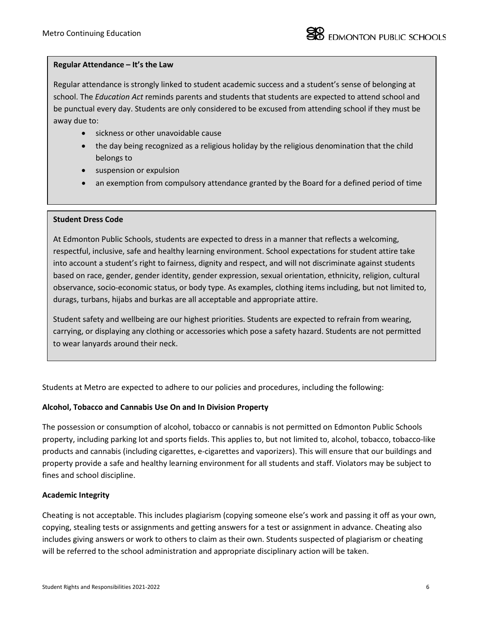#### **Regular Attendance – It's the Law**

Regular attendance is strongly linked to student academic success and a student's sense of belonging at school. The *Education Act* reminds parents and students that students are expected to attend school and be punctual every day. Students are only considered to be excused from attending school if they must be away due to:

- sickness or other unavoidable cause
- the day being recognized as a religious holiday by the religious denomination that the child belongs to
- suspension or expulsion
- an exemption from compulsory attendance granted by the Board for a defined period of time

#### **Student Dress Code**

At Edmonton Public Schools, students are expected to dress in a manner that reflects a welcoming, respectful, inclusive, safe and healthy learning environment. School expectations for student attire take into account a student's right to fairness, dignity and respect, and will not discriminate against students based on race, gender, gender identity, gender expression, sexual orientation, ethnicity, religion, cultural observance, socio-economic status, or body type. As examples, clothing items including, but not limited to, durags, turbans, hijabs and burkas are all acceptable and appropriate attire.

Student safety and wellbeing are our highest priorities. Students are expected to refrain from wearing, carrying, or displaying any clothing or accessories which pose a safety hazard. Students are not permitted to wear lanyards around their neck.

Students at Metro are expected to adhere to our policies and procedures, including the following:

### **Alcohol, Tobacco and Cannabis Use On and In Division Property**

The possession or consumption of alcohol, tobacco or cannabis is not permitted on Edmonton Public Schools property, including parking lot and sports fields. This applies to, but not limited to, alcohol, tobacco, tobacco-like products and cannabis (including cigarettes, e-cigarettes and vaporizers). This will ensure that our buildings and property provide a safe and healthy learning environment for all students and staff. Violators may be subject to fines and school discipline.

#### **Academic Integrity**

Cheating is not acceptable. This includes plagiarism (copying someone else's work and passing it off as your own, copying, stealing tests or assignments and getting answers for a test or assignment in advance. Cheating also includes giving answers or work to others to claim as their own. Students suspected of plagiarism or cheating will be referred to the school administration and appropriate disciplinary action will be taken.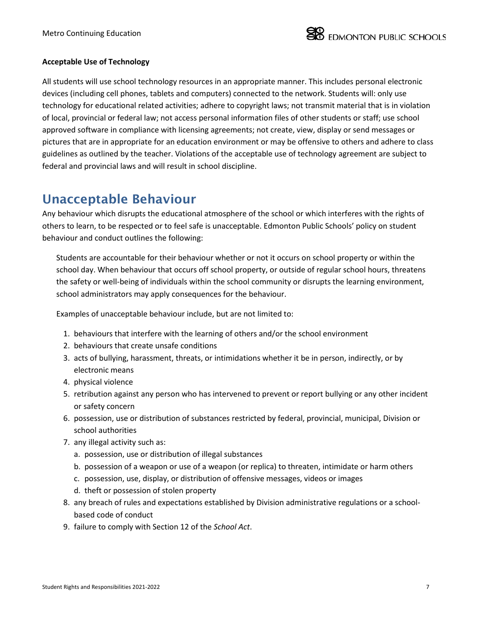

### **Acceptable Use of Technology**

All students will use school technology resources in an appropriate manner. This includes personal electronic devices (including cell phones, tablets and computers) connected to the network. Students will: only use technology for educational related activities; adhere to copyright laws; not transmit material that is in violation of local, provincial or federal law; not access personal information files of other students or staff; use school approved software in compliance with licensing agreements; not create, view, display or send messages or pictures that are in appropriate for an education environment or may be offensive to others and adhere to class guidelines as outlined by the teacher. Violations of the acceptable use of technology agreement are subject to federal and provincial laws and will result in school discipline.

### Unacceptable Behaviour

Any behaviour which disrupts the educational atmosphere of the school or which interferes with the rights of others to learn, to be respected or to feel safe is unacceptable. Edmonton Public Schools' policy on student behaviour and conduct outlines the following:

Students are accountable for their behaviour whether or not it occurs on school property or within the school day. When behaviour that occurs off school property, or outside of regular school hours, threatens the safety or well-being of individuals within the school community or disrupts the learning environment, school administrators may apply consequences for the behaviour.

Examples of unacceptable behaviour include, but are not limited to:

- 1. behaviours that interfere with the learning of others and/or the school environment
- 2. behaviours that create unsafe conditions
- 3. acts of bullying, harassment, threats, or intimidations whether it be in person, indirectly, or by electronic means
- 4. physical violence
- 5. retribution against any person who has intervened to prevent or report bullying or any other incident or safety concern
- 6. possession, use or distribution of substances restricted by federal, provincial, municipal, Division or school authorities
- 7. any illegal activity such as:
	- a. possession, use or distribution of illegal substances
	- b. possession of a weapon or use of a weapon (or replica) to threaten, intimidate or harm others
	- c. possession, use, display, or distribution of offensive messages, videos or images
	- d. theft or possession of stolen property
- 8. any breach of rules and expectations established by Division administrative regulations or a schoolbased code of conduct
- 9. failure to comply with Section 12 of the *School Act*.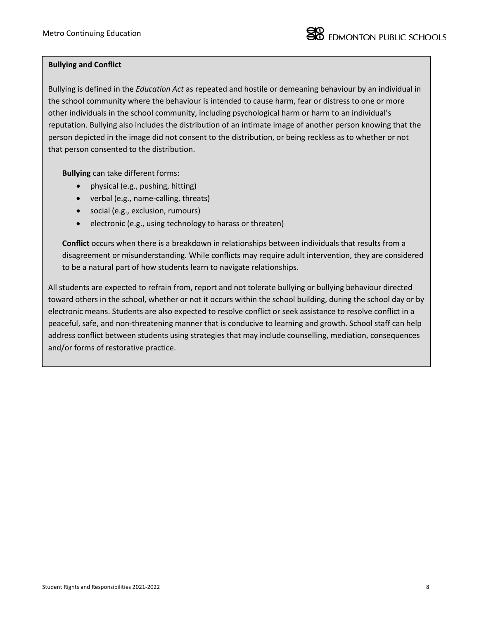### **Bullying and Conflict**

Bullying is defined in the *Education Act* as repeated and hostile or demeaning behaviour by an individual in the school community where the behaviour is intended to cause harm, fear or distress to one or more other individuals in the school community, including psychological harm or harm to an individual's reputation. Bullying also includes the distribution of an intimate image of another person knowing that the person depicted in the image did not consent to the distribution, or being reckless as to whether or not that person consented to the distribution.

**Bullying** can take different forms:

- physical (e.g., pushing, hitting)
- verbal (e.g., name-calling, threats)
- social (e.g., exclusion, rumours)
- electronic (e.g., using technology to harass or threaten)

**Conflict** occurs when there is a breakdown in relationships between individuals that results from a disagreement or misunderstanding. While conflicts may require adult intervention, they are considered to be a natural part of how students learn to navigate relationships.

All students are expected to refrain from, report and not tolerate bullying or bullying behaviour directed toward others in the school, whether or not it occurs within the school building, during the school day or by electronic means. Students are also expected to resolve conflict or seek assistance to resolve conflict in a peaceful, safe, and non-threatening manner that is conducive to learning and growth. School staff can help address conflict between students using strategies that may include counselling, mediation, consequences and/or forms of restorative practice.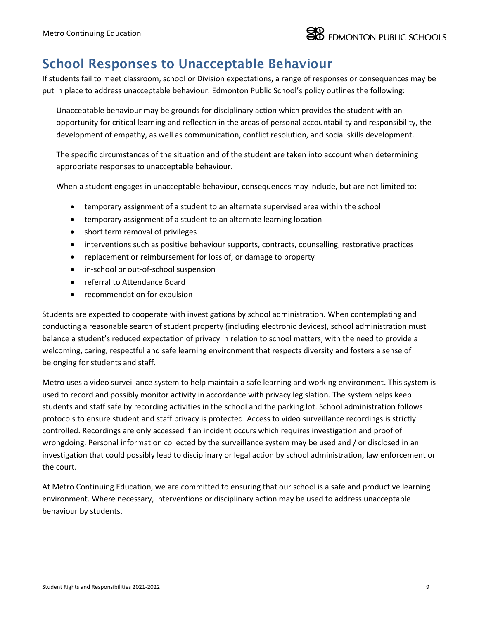

### School Responses to Unacceptable Behaviour

If students fail to meet classroom, school or Division expectations, a range of responses or consequences may be put in place to address unacceptable behaviour. Edmonton Public School's policy outlines the following:

Unacceptable behaviour may be grounds for disciplinary action which provides the student with an opportunity for critical learning and reflection in the areas of personal accountability and responsibility, the development of empathy, as well as communication, conflict resolution, and social skills development.

The specific circumstances of the situation and of the student are taken into account when determining appropriate responses to unacceptable behaviour.

When a student engages in unacceptable behaviour, consequences may include, but are not limited to:

- temporary assignment of a student to an alternate supervised area within the school
- temporary assignment of a student to an alternate learning location
- short term removal of privileges
- interventions such as positive behaviour supports, contracts, counselling, restorative practices
- replacement or reimbursement for loss of, or damage to property
- in-school or out-of-school suspension
- referral to Attendance Board
- recommendation for expulsion

Students are expected to cooperate with investigations by school administration. When contemplating and conducting a reasonable search of student property (including electronic devices), school administration must balance a student's reduced expectation of privacy in relation to school matters, with the need to provide a welcoming, caring, respectful and safe learning environment that respects diversity and fosters a sense of belonging for students and staff.

Metro uses a video surveillance system to help maintain a safe learning and working environment. This system is used to record and possibly monitor activity in accordance with privacy legislation. The system helps keep students and staff safe by recording activities in the school and the parking lot. School administration follows protocols to ensure student and staff privacy is protected. Access to video surveillance recordings is strictly controlled. Recordings are only accessed if an incident occurs which requires investigation and proof of wrongdoing. Personal information collected by the surveillance system may be used and / or disclosed in an investigation that could possibly lead to disciplinary or legal action by school administration, law enforcement or the court.

At Metro Continuing Education, we are committed to ensuring that our school is a safe and productive learning environment. Where necessary, interventions or disciplinary action may be used to address unacceptable behaviour by students.